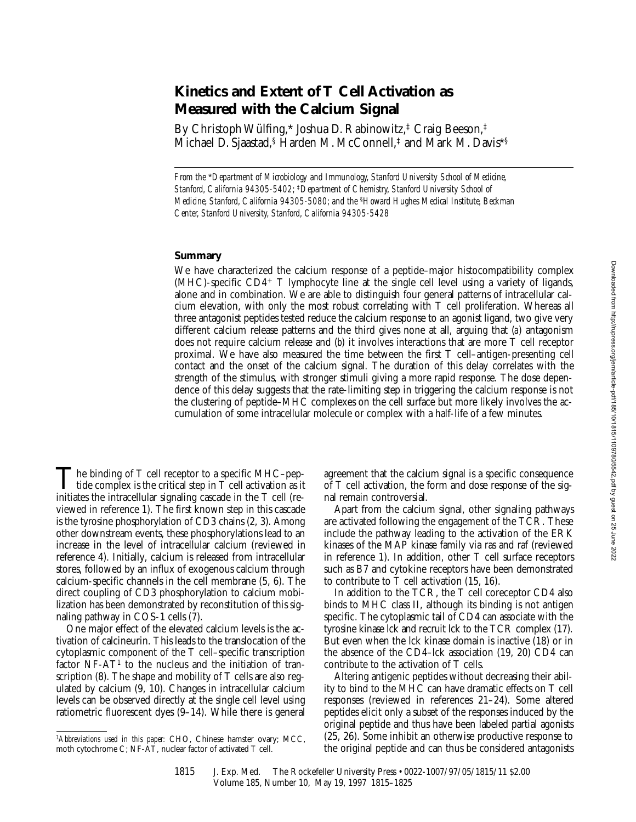# **Kinetics and Extent of T Cell Activation as Measured with the Calcium Signal**

By Christoph Wülfing,\* Joshua D. Rabinowitz,‡ Craig Beeson,‡ Michael D. Sjaastad,<sup>§</sup> Harden M. McConnell,<sup>‡</sup> and Mark M. Davis<sup>\*§</sup>

*From the* \**Department of Microbiology and Immunology, Stanford University School of Medicine, Stanford, California 94305-5402;* ‡*Department of Chemistry, Stanford University School of Medicine, Stanford, California 94305-5080; and the* §*Howard Hughes Medical Institute, Beckman Center, Stanford University, Stanford, California 94305-5428*

## **Summary**

We have characterized the calcium response of a peptide–major histocompatibility complex  $(MHC)$ -specific  $CD4^+$  T lymphocyte line at the single cell level using a variety of ligands, alone and in combination. We are able to distinguish four general patterns of intracellular calcium elevation, with only the most robust correlating with T cell proliferation. Whereas all three antagonist peptides tested reduce the calcium response to an agonist ligand, two give very different calcium release patterns and the third gives none at all, arguing that (*a*) antagonism does not require calcium release and (*b*) it involves interactions that are more T cell receptor proximal. We have also measured the time between the first T cell–antigen-presenting cell contact and the onset of the calcium signal. The duration of this delay correlates with the strength of the stimulus, with stronger stimuli giving a more rapid response. The dose dependence of this delay suggests that the rate-limiting step in triggering the calcium response is not the clustering of peptide–MHC complexes on the cell surface but more likely involves the accumulation of some intracellular molecule or complex with a half-life of a few minutes.

The binding of T cell receptor to a specific MHC–peptide complex is the critical step in T cell activation as it<br>initiates the interestigation is realized as a speed in the T sell (see initiates the intracellular signaling cascade in the T cell (reviewed in reference 1). The first known step in this cascade is the tyrosine phosphorylation of CD3 chains (2, 3). Among other downstream events, these phosphorylations lead to an increase in the level of intracellular calcium (reviewed in reference 4). Initially, calcium is released from intracellular stores, followed by an influx of exogenous calcium through calcium-specific channels in the cell membrane (5, 6). The direct coupling of CD3 phosphorylation to calcium mobilization has been demonstrated by reconstitution of this signaling pathway in COS-1 cells (7).

One major effect of the elevated calcium levels is the activation of calcineurin. This leads to the translocation of the cytoplasmic component of the T cell–specific transcription factor  $NF-AT<sup>1</sup>$  to the nucleus and the initiation of transcription (8). The shape and mobility of T cells are also regulated by calcium (9, 10). Changes in intracellular calcium levels can be observed directly at the single cell level using ratiometric fluorescent dyes (9–14). While there is general

agreement that the calcium signal is a specific consequence of T cell activation, the form and dose response of the signal remain controversial.

Apart from the calcium signal, other signaling pathways are activated following the engagement of the TCR. These include the pathway leading to the activation of the ERK kinases of the MAP kinase family via ras and raf (reviewed in reference 1). In addition, other T cell surface receptors such as B7 and cytokine receptors have been demonstrated to contribute to  $\overline{T}$  cell activation (15, 16).

In addition to the TCR, the T cell coreceptor CD4 also binds to MHC class II, although its binding is not antigen specific. The cytoplasmic tail of CD4 can associate with the tyrosine kinase lck and recruit lck to the TCR complex (17). But even when the lck kinase domain is inactive (18) or in the absence of the CD4–lck association (19, 20) CD4 can contribute to the activation of T cells.

Altering antigenic peptides without decreasing their ability to bind to the MHC can have dramatic effects on T cell responses (reviewed in references 21–24). Some altered peptides elicit only a subset of the responses induced by the original peptide and thus have been labeled partial agonists (25, 26). Some inhibit an otherwise productive response to the original peptide and can thus be considered antagonists

<sup>1</sup>*Abbreviations used in this paper:* CHO, Chinese hamster ovary; MCC, moth cytochrome C; NF-AT, nuclear factor of activated T cell.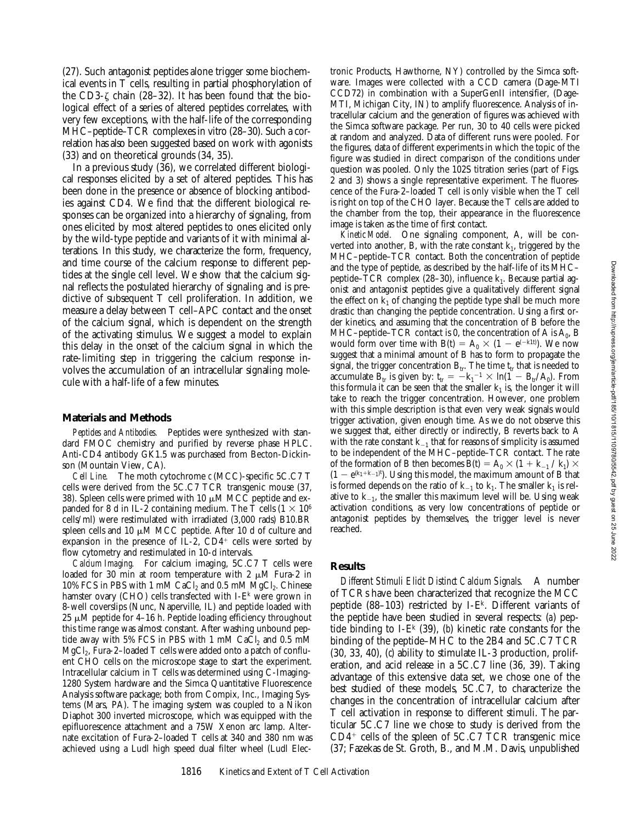(27). Such antagonist peptides alone trigger some biochemical events in T cells, resulting in partial phosphorylation of the CD3- $\zeta$  chain (28–32). It has been found that the biological effect of a series of altered peptides correlates, with very few exceptions, with the half-life of the corresponding MHC–peptide–TCR complexes in vitro (28–30). Such a correlation has also been suggested based on work with agonists (33) and on theoretical grounds (34, 35).

In a previous study (36), we correlated different biological responses elicited by a set of altered peptides. This has been done in the presence or absence of blocking antibodies against CD4. We find that the different biological responses can be organized into a hierarchy of signaling, from ones elicited by most altered peptides to ones elicited only by the wild-type peptide and variants of it with minimal alterations. In this study, we characterize the form, frequency, and time course of the calcium response to different peptides at the single cell level. We show that the calcium signal reflects the postulated hierarchy of signaling and is predictive of subsequent T cell proliferation. In addition, we measure a delay between T cell–APC contact and the onset of the calcium signal, which is dependent on the strength of the activating stimulus. We suggest a model to explain this delay in the onset of the calcium signal in which the rate-limiting step in triggering the calcium response involves the accumulation of an intracellular signaling molecule with a half-life of a few minutes.

#### **Materials and Methods**

*Peptides and Antibodies.* Peptides were synthesized with standard FMOC chemistry and purified by reverse phase HPLC. Anti-CD4 antibody GK1.5 was purchased from Becton-Dickinson (Mountain View, CA).

*Cell Line.* The moth cytochrome *c* (MCC)-specific 5C.C7 T cells were derived from the 5C.C7 TCR transgenic mouse (37, 38). Spleen cells were primed with 10  $\mu$ M MCC peptide and expanded for 8 d in IL-2 containing medium. The T cells  $(1 \times 10^6)$ cells/ml) were restimulated with irradiated (3,000 rads) B10.BR spleen cells and 10  $\mu$ M MCC peptide. After 10 d of culture and expansion in the presence of IL-2,  $CD4^+$  cells were sorted by flow cytometry and restimulated in 10-d intervals.

*Calcium Imaging.* For calcium imaging, 5C.C7 T cells were loaded for 30 min at room temperature with 2  $\mu$ M Fura-2 in 10% FCS in PBS with 1 mM CaCl<sub>2</sub> and 0.5 mM MgCl<sub>2</sub>. Chinese hamster ovary (CHO) cells transfected with I-E<sup>k</sup> were grown in 8-well coverslips (Nunc, Naperville, IL) and peptide loaded with  $25 \mu M$  peptide for 4–16 h. Peptide loading efficiency throughout this time range was almost constant. After washing unbound peptide away with 5% FCS in PBS with 1 mM CaCl<sub>2</sub> and 0.5 mM  $MgCl<sub>2</sub>$ , Fura-2–loaded T cells were added onto a patch of confluent CHO cells on the microscope stage to start the experiment. Intracellular calcium in T cells was determined using C-Imaging-1280 System hardware and the Simca Quantitative Fluorescence Analysis software package; both from Compix, Inc., Imaging Systems (Mars, PA). The imaging system was coupled to a Nikon Diaphot 300 inverted microscope, which was equipped with the epifluorescence attachment and a 75W Xenon arc lamp. Alternate excitation of Fura-2–loaded T cells at 340 and 380 nm was achieved using a Ludl high speed dual filter wheel (Ludl Electronic Products, Hawthorne, NY) controlled by the Simca software. Images were collected with a CCD camera (Dage-MTI CCD72) in combination with a SuperGenII intensifier, (Dage-MTI, Michigan City, IN) to amplify fluorescence. Analysis of intracellular calcium and the generation of figures was achieved with the Simca software package. Per run, 30 to 40 cells were picked at random and analyzed. Data of different runs were pooled. For the figures, data of different experiments in which the topic of the figure was studied in direct comparison of the conditions under question was pooled. Only the 102S titration series (part of Figs. 2 and 3) shows a single representative experiment. The fluorescence of the Fura-2–loaded T cell is only visible when the T cell is right on top of the CHO layer. Because the T cells are added to the chamber from the top, their appearance in the fluorescence image is taken as the time of first contact.

*Kinetic Model.* One signaling component, A, will be converted into another, B, with the rate constant  $k_1$ , triggered by the MHC–peptide–TCR contact. Both the concentration of peptide and the type of peptide, as described by the half-life of its MHC– peptide–TCR complex (28–30), influence  $k_1$ . Because partial agonist and antagonist peptides give a qualitatively different signal the effect on  $k_1$  of changing the peptide type shall be much more drastic than changing the peptide concentration. Using a first order kinetics, and assuming that the concentration of B before the MHC–peptide–TCR contact is 0, the concentration of A is  $A_0$ , B would form over time with  $B(t) = A_0 \times (1 - e^{(-k_1 t)})$ . We now suggest that a minimal amount of B has to form to propagate the signal, the trigger concentration  $\texttt{B}_{\textup{tr}}.$  The time  $\textsf{t}_{\textup{tr}}$  that is needed to accumulate  $B_{tr}$  is given by:  $t_{tr} = -k_1^{-1} \times ln(1 - B_{tr}/A_0)$ . From this formula it can be seen that the smaller  $k_1$  is, the longer it will take to reach the trigger concentration. However, one problem with this simple description is that even very weak signals would trigger activation, given enough time. As we do not observe this we suggest that, either directly or indirectly, B reverts back to A with the rate constant  $k_{-1}$  that for reasons of simplicity is assumed to be independent of the MHC–peptide–TCR contact. The rate of the formation of B then becomes  $B(t) = A_0 \times (1 + k_{-1} / k_1) \times$  $(1 - e^{(k_1 + k_1)t})$ . Using this model, the maximum amount of B that is formed depends on the ratio of  $k_{-1}$  to  $k_1$ . The smaller  $k_1$  is relative to  $k_{-1}$ , the smaller this maximum level will be. Using weak activation conditions, as very low concentrations of peptide or antagonist peptides by themselves, the trigger level is never reached.

#### **Results**

*Different Stimuli Elicit Distinct Calcium Signals.* A number of TCRs have been characterized that recognize the MCC peptide (88–103) restricted by I-Ek. Different variants of the peptide have been studied in several respects: (*a*) peptide binding to I- $E^k$  (39), (b) kinetic rate constants for the binding of the peptide–MHC to the 2B4 and 5C.C7 TCR (30, 33, 40), (*c*) ability to stimulate IL-3 production, proliferation, and acid release in a 5C.C7 line (36, 39). Taking advantage of this extensive data set, we chose one of the best studied of these models, 5C.C7, to characterize the changes in the concentration of intracellular calcium after T cell activation in response to different stimuli. The particular 5C.C7 line we chose to study is derived from the  $CD4<sup>+</sup>$  cells of the spleen of 5C.C7 TCR transgenic mice (37; Fazekas de St. Groth, B., and M.M. Davis, unpublished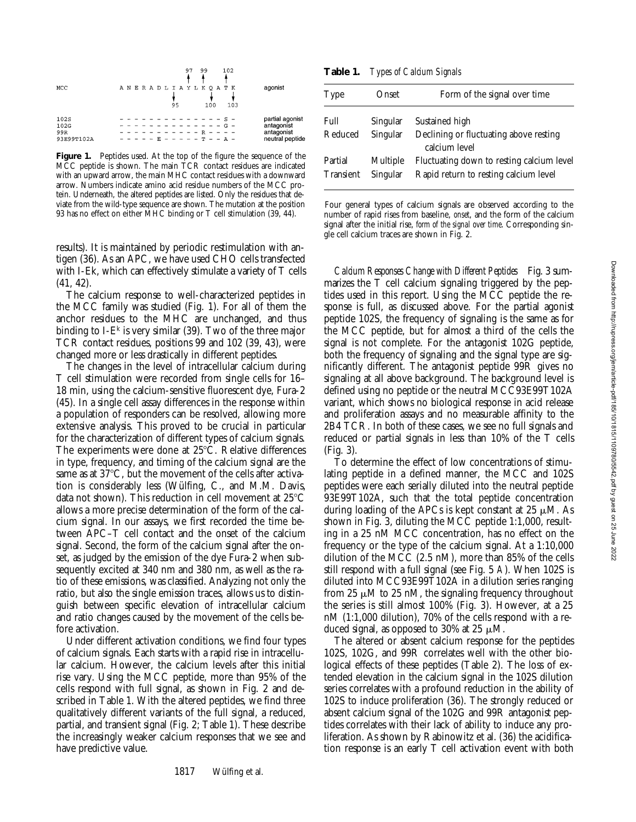

**Figure 1.** Peptides used. At the top of the figure the sequence of the MCC peptide is shown. The main TCR contact residues are indicated with an upward arrow, the main MHC contact residues with a downward arrow. Numbers indicate amino acid residue numbers of the MCC protein. Underneath, the altered peptides are listed. Only the residues that deviate from the wild-type sequence are shown. The mutation at the position 93 has no effect on either MHC binding or T cell stimulation (39, 44).

results). It is maintained by periodic restimulation with antigen (36). As an APC, we have used CHO cells transfected with I-Ek, which can effectively stimulate a variety of T cells (41, 42).

The calcium response to well-characterized peptides in the MCC family was studied (Fig. 1). For all of them the anchor residues to the MHC are unchanged, and thus binding to I- $E^k$  is very similar (39). Two of the three major TCR contact residues, positions 99 and 102 (39, 43), were changed more or less drastically in different peptides.

The changes in the level of intracellular calcium during T cell stimulation were recorded from single cells for 16– 18 min, using the calcium-sensitive fluorescent dye, Fura-2 (45). In a single cell assay differences in the response within a population of responders can be resolved, allowing more extensive analysis. This proved to be crucial in particular for the characterization of different types of calcium signals. The experiments were done at  $25^{\circ}$ C. Relative differences in type, frequency, and timing of the calcium signal are the same as at  $37^{\circ}$ C, but the movement of the cells after activation is considerably less (Wülfing, C., and M.M. Davis, data not shown). This reduction in cell movement at  $25^{\circ}$ C allows a more precise determination of the form of the calcium signal. In our assays, we first recorded the time between APC–T cell contact and the onset of the calcium signal. Second, the form of the calcium signal after the onset, as judged by the emission of the dye Fura-2 when subsequently excited at 340 nm and 380 nm, as well as the ratio of these emissions, was classified. Analyzing not only the ratio, but also the single emission traces, allows us to distinguish between specific elevation of intracellular calcium and ratio changes caused by the movement of the cells before activation.

Under different activation conditions, we find four types of calcium signals. Each starts with a rapid rise in intracellular calcium. However, the calcium levels after this initial rise vary. Using the MCC peptide, more than 95% of the cells respond with full signal, as shown in Fig. 2 and described in Table 1. With the altered peptides, we find three qualitatively different variants of the full signal, a reduced, partial, and transient signal (Fig. 2; Table 1). These describe the increasingly weaker calcium responses that we see and have predictive value.

**Table 1.** *Types of Calcium Signals*

| Type             | Dnset :  | Form of the signal over time                            |
|------------------|----------|---------------------------------------------------------|
| Full             | Singular | Sustained high                                          |
| Reduced          | Singular | Declining or fluctuating above resting<br>calcium level |
| Partial          | Multiple | Fluctuating down to resting calcium level               |
| <b>Transient</b> | Singular | Rapid return to resting calcium level                   |

Four general types of calcium signals are observed according to the number of rapid rises from baseline, *onset*, and the form of the calcium signal after the initial rise, *form of the signal over time*. Corresponding single cell calcium traces are shown in Fig. 2.

*Calcium Responses Change with Different Peptides* Fig. 3 summarizes the T cell calcium signaling triggered by the peptides used in this report. Using the MCC peptide the response is full, as discussed above. For the partial agonist peptide 102S, the frequency of signaling is the same as for the MCC peptide, but for almost a third of the cells the signal is not complete. For the antagonist 102G peptide, both the frequency of signaling and the signal type are significantly different. The antagonist peptide 99R gives no signaling at all above background. The background level is defined using no peptide or the neutral MCC93E99T102A variant, which shows no biological response in acid release and proliferation assays and no measurable affinity to the 2B4 TCR. In both of these cases, we see no full signals and reduced or partial signals in less than 10% of the T cells (Fig. 3).

To determine the effect of low concentrations of stimulating peptide in a defined manner, the MCC and 102S peptides were each serially diluted into the neutral peptide 93E99T102A, such that the total peptide concentration during loading of the APCs is kept constant at  $25 \mu M$ . As shown in Fig. 3, diluting the MCC peptide 1:1,000, resulting in a 25 nM MCC concentration, has no effect on the frequency or the type of the calcium signal. At a 1:10,000 dilution of the MCC (2.5 nM), more than 85% of the cells still respond with a full signal (see Fig. 5 *A*). When 102S is diluted into MCC93E99T102A in a dilution series ranging from 25  $\mu$ M to 25 nM, the signaling frequency throughout the series is still almost 100% (Fig. 3). However, at a 25 nM (1:1,000 dilution), 70% of the cells respond with a reduced signal, as opposed to 30% at 25  $\mu$ M.

The altered or absent calcium response for the peptides 102S, 102G, and 99R correlates well with the other biological effects of these peptides (Table 2). The loss of extended elevation in the calcium signal in the 102S dilution series correlates with a profound reduction in the ability of 102S to induce proliferation (36). The strongly reduced or absent calcium signal of the 102G and 99R antagonist peptides correlates with their lack of ability to induce any proliferation. As shown by Rabinowitz et al. (36) the acidification response is an early T cell activation event with both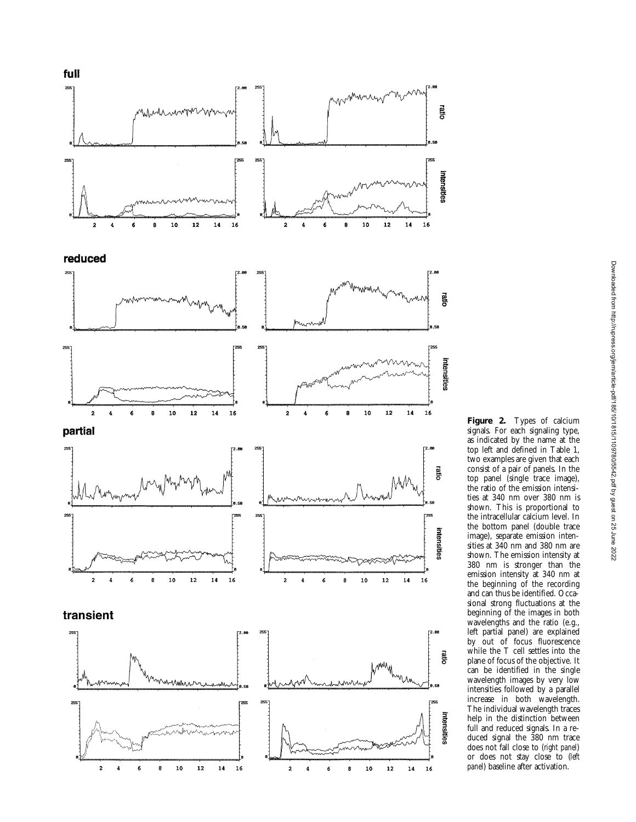

**Figure 2.** Types of calcium signals. For each signaling type, as indicated by the name at the top left and defined in Table 1, two examples are given that each consist of a pair of panels. In the top panel (single trace image), the ratio of the emission intensities at 340 nm over 380 nm is shown. This is proportional to the intracellular calcium level. In the bottom panel (double trace image), separate emission intensities at 340 nm and 380 nm are shown. The emission intensity at 380 nm is stronger than the emission intensity at 340 nm at the beginning of the recording and can thus be identified. Occasional strong fluctuations at the beginning of the images in both wavelengths and the ratio (e.g., left partial panel) are explained by out of focus fluorescence while the T cell settles into the plane of focus of the objective. It can be identified in the single wavelength images by very low intensities followed by a parallel increase in both wavelength. The individual wavelength traces help in the distinction between full and reduced signals. In a reduced signal the 380 nm trace does not fall close to (*right panel*) or does not stay close to (*left panel*) baseline after activation.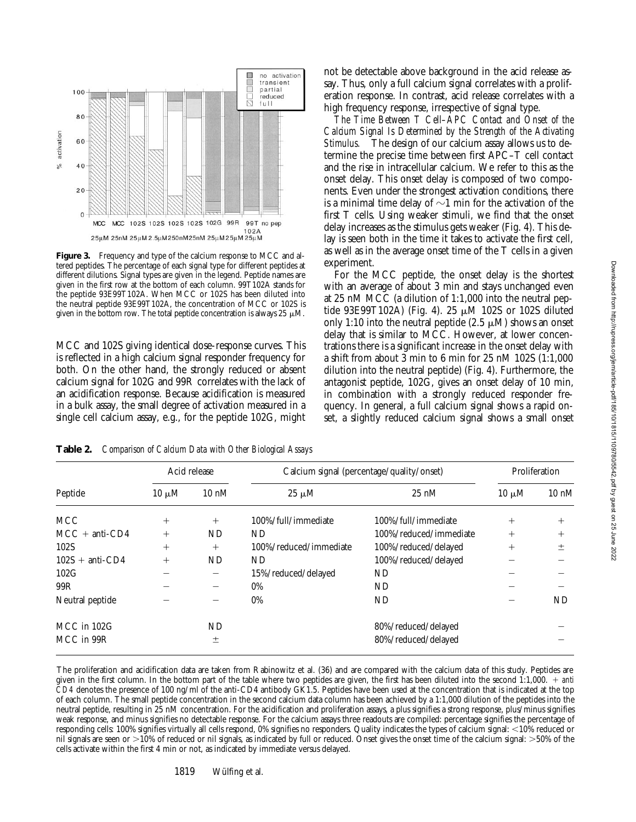

**Figure 3.** Frequency and type of the calcium response to MCC and altered peptides. The percentage of each signal type for different peptides at different dilutions. Signal types are given in the legend. Peptide names are given in the first row at the bottom of each column. 99T102A stands for the peptide 93E99T102A. When MCC or 102S has been diluted into the neutral peptide 93E99T102A, the concentration of MCC or 102S is given in the bottom row. The total peptide concentration is always 25  $\mu$ M.

MCC and 102S giving identical dose-response curves. This is reflected in a high calcium signal responder frequency for both. On the other hand, the strongly reduced or absent calcium signal for 102G and 99R correlates with the lack of an acidification response. Because acidification is measured in a bulk assay, the small degree of activation measured in a single cell calcium assay, e.g., for the peptide 102G, might

not be detectable above background in the acid release assay. Thus, only a full calcium signal correlates with a proliferation response. In contrast, acid release correlates with a high frequency response, irrespective of signal type.

*The Time Between T Cell–APC Contact and Onset of the Calcium Signal Is Determined by the Strength of the Activating Stimulus.* The design of our calcium assay allows us to determine the precise time between first APC–T cell contact and the rise in intracellular calcium. We refer to this as the onset delay. This onset delay is composed of two components. Even under the strongest activation conditions, there is a minimal time delay of  $\sim$ 1 min for the activation of the first T cells. Using weaker stimuli, we find that the onset delay increases as the stimulus gets weaker (Fig. 4). This delay is seen both in the time it takes to activate the first cell, as well as in the average onset time of the T cells in a given experiment.

For the MCC peptide, the onset delay is the shortest with an average of about 3 min and stays unchanged even at 25 nM MCC (a dilution of 1:1,000 into the neutral peptide 93E99T102A) (Fig. 4). 25  $\mu$ M 102S or 102S diluted only 1:10 into the neutral peptide  $(2.5 \mu M)$  shows an onset delay that is similar to MCC. However, at lower concentrations there is a significant increase in the onset delay with a shift from about 3 min to 6 min for 25 nM 102S (1:1,000 dilution into the neutral peptide) (Fig. 4). Furthermore, the antagonist peptide, 102G, gives an onset delay of 10 min, in combination with a strongly reduced responder frequency. In general, a full calcium signal shows a rapid onset, a slightly reduced calcium signal shows a small onset

| Acid release |                 | Calcium signal (percentage/quality/onset) |                        | Proliferation |                 |
|--------------|-----------------|-------------------------------------------|------------------------|---------------|-----------------|
| $10 \mu M$   | $10 \text{ nM}$ | $25 \mu M$                                | $25 \text{ nM}$        | $10 \mu M$    | $10 \text{ nM}$ |
| $^{+}$       | $^{+}$          | 100%/full/immediate                       | 100%/full/immediate    | $^{+}$        | $^{+}$          |
| $^{+}$       | ND              | ND                                        | 100%/reduced/immediate | $^{+}$        | $^{+}$          |
| $^{+}$       | $^{+}$          | 100%/reduced/immediate                    | 100%/reduced/delayed   | $^{+}$        | 土               |
| $^{+}$       | ND              | ND.                                       | 100%/reduced/delayed   |               |                 |
|              |                 | 15%/reduced/delayed                       | ND                     |               |                 |
|              |                 | $0\%$                                     | ND.                    |               |                 |
|              |                 | 0%                                        | ND                     |               | ND              |
|              | ND              |                                           | 80%/reduced/delayed    |               |                 |
|              | $\pm$           |                                           | 80%/reduced/delayed    |               |                 |
|              |                 |                                           |                        |               |                 |

**Table 2.** *Comparison of Calcium Data with Other Biological Assays*

The proliferation and acidification data are taken from Rabinowitz et al. (36) and are compared with the calcium data of this study. Peptides are given in the first column. In the bottom part of the table where two peptides are given, the first has been diluted into the second 1:1,000. 1 *anti CD4* denotes the presence of 100 ng/ml of the anti-CD4 antibody GK1.5. Peptides have been used at the concentration that is indicated at the top of each column. The small peptide concentration in the second calcium data column has been achieved by a 1:1,000 dilution of the peptides into the neutral peptide, resulting in 25 nM concentration. For the acidification and proliferation assays, a plus signifies a strong response, plus/minus signifies weak response, and minus signifies no detectable response. For the calcium assays three readouts are compiled: percentage signifies the percentage of responding cells: 100% signifies virtually all cells respond, 0% signifies no responders. Quality indicates the types of calcium signal: <10% reduced or nil signals are seen or  $>10\%$  of reduced or nil signals, as indicated by full or reduced. Onset gives the onset time of the calcium signal:  $>50\%$  of the cells activate within the first 4 min or not, as indicated by immediate versus delayed.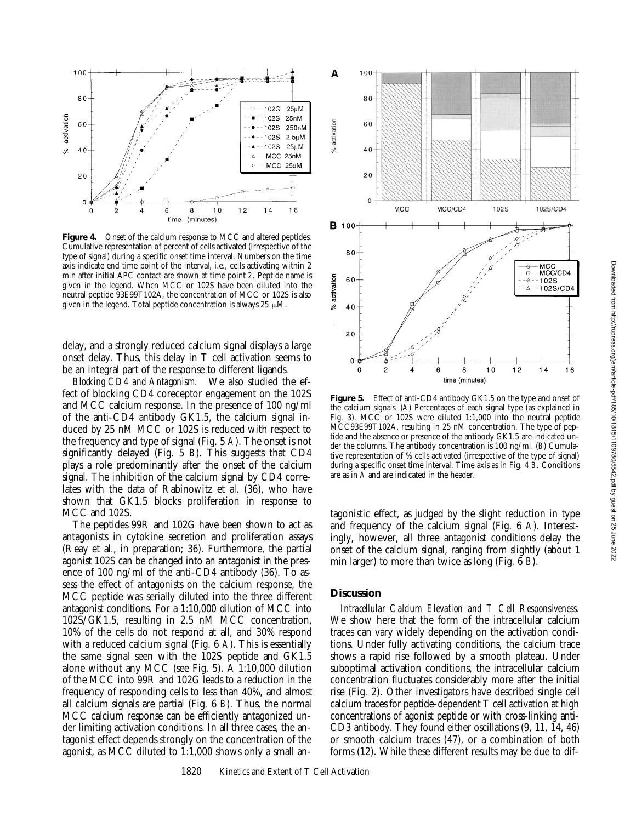

Figure 4. Onset of the calcium response to MCC and altered peptides. Cumulative representation of percent of cells activated (irrespective of the type of signal) during a specific onset time interval. Numbers on the time axis indicate end time point of the interval, i.e., cells activating within 2 min after initial APC contact are shown at time point *2.* Peptide name is given in the legend. When MCC or 102S have been diluted into the neutral peptide 93E99T102A, the concentration of MCC or 102S is also given in the legend. Total peptide concentration is always 25  $\mu$ M.

delay, and a strongly reduced calcium signal displays a large onset delay. Thus, this delay in T cell activation seems to be an integral part of the response to different ligands.

*Blocking CD4 and Antagonism.* We also studied the effect of blocking CD4 coreceptor engagement on the 102S and MCC calcium response. In the presence of 100 ng/ml of the anti-CD4 antibody GK1.5, the calcium signal induced by 25 nM MCC or 102S is reduced with respect to the frequency and type of signal (Fig. 5 *A*). The onset is not significantly delayed (Fig. 5 *B*). This suggests that CD4 plays a role predominantly after the onset of the calcium signal. The inhibition of the calcium signal by CD4 correlates with the data of Rabinowitz et al. (36), who have shown that GK1.5 blocks proliferation in response to MCC and 102S.

The peptides 99R and 102G have been shown to act as antagonists in cytokine secretion and proliferation assays (Reay et al., in preparation; 36). Furthermore, the partial agonist 102S can be changed into an antagonist in the presence of 100 ng/ml of the anti-CD4 antibody (36). To assess the effect of antagonists on the calcium response, the MCC peptide was serially diluted into the three different antagonist conditions. For a 1:10,000 dilution of MCC into 102S/GK1.5, resulting in 2.5 nM MCC concentration, 10% of the cells do not respond at all, and 30% respond with a reduced calcium signal (Fig. 6 *A*). This is essentially the same signal seen with the 102S peptide and GK1.5 alone without any MCC (see Fig. 5). A 1:10,000 dilution of the MCC into 99R and 102G leads to a reduction in the frequency of responding cells to less than 40%, and almost all calcium signals are partial (Fig. 6 *B*). Thus, the normal MCC calcium response can be efficiently antagonized under limiting activation conditions. In all three cases, the antagonist effect depends strongly on the concentration of the agonist, as MCC diluted to 1:1,000 shows only a small an-



**Figure 5.** Effect of anti-CD4 antibody GK1.5 on the type and onset of the calcium signals. (*A*) Percentages of each signal type (as explained in Fig. 3). MCC or 102S were diluted 1:1,000 into the neutral peptide MCC93E99T102A, resulting in 25 nM concentration. The type of peptide and the absence or presence of the antibody GK1.5 are indicated under the columns. The antibody concentration is 100 ng/ml. (*B*) Cumulative representation of % cells activated (irrespective of the type of signal) during a specific onset time interval. Time axis as in Fig. 4 *B.* Conditions are as in *A* and are indicated in the header.

tagonistic effect, as judged by the slight reduction in type and frequency of the calcium signal (Fig. 6 *A*). Interestingly, however, all three antagonist conditions delay the onset of the calcium signal, ranging from slightly (about 1 min larger) to more than twice as long (Fig. 6 *B*).

### **Discussion**

*Intracellular Calcium Elevation and T Cell Responsiveness.* We show here that the form of the intracellular calcium traces can vary widely depending on the activation conditions. Under fully activating conditions, the calcium trace shows a rapid rise followed by a smooth plateau. Under suboptimal activation conditions, the intracellular calcium concentration fluctuates considerably more after the initial rise (Fig. 2). Other investigators have described single cell calcium traces for peptide-dependent T cell activation at high concentrations of agonist peptide or with cross-linking anti-CD3 antibody. They found either oscillations (9, 11, 14, 46) or smooth calcium traces (47), or a combination of both forms (12). While these different results may be due to dif-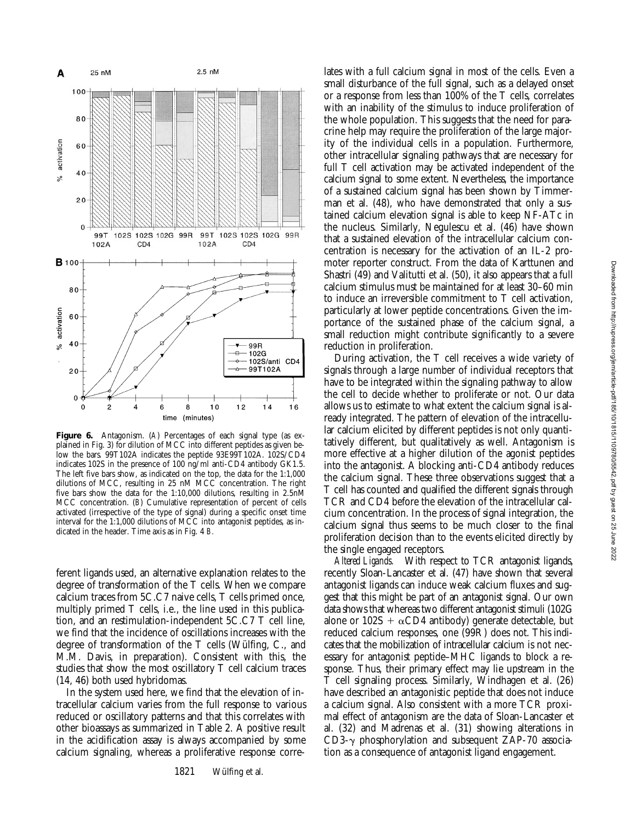

**Figure 6.** Antagonism. (*A*) Percentages of each signal type (as explained in Fig. 3) for dilution of MCC into different peptides as given below the bars. 99T102A indicates the peptide 93E99T102A. 102S/CD4 indicates 102S in the presence of 100 ng/ml anti-CD4 antibody GK1.5. The left five bars show, as indicated on the top, the data for the 1:1,000 dilutions of MCC, resulting in 25 nM MCC concentration. The right five bars show the data for the 1:10,000 dilutions, resulting in 2.5nM MCC concentration. (*B*) Cumulative representation of percent of cells activated (irrespective of the type of signal) during a specific onset time interval for the 1:1,000 dilutions of MCC into antagonist peptides, as indicated in the header. Time axis as in Fig. 4 *B.*

ferent ligands used, an alternative explanation relates to the degree of transformation of the T cells. When we compare calcium traces from 5C.C7 naive cells, T cells primed once, multiply primed T cells, i.e., the line used in this publication, and an restimulation-independent 5C.C7 T cell line, we find that the incidence of oscillations increases with the degree of transformation of the T cells (Wülfing, C., and M.M. Davis, in preparation). Consistent with this, the studies that show the most oscillatory T cell calcium traces (14, 46) both used hybridomas.

In the system used here, we find that the elevation of intracellular calcium varies from the full response to various reduced or oscillatory patterns and that this correlates with other bioassays as summarized in Table 2. A positive result in the acidification assay is always accompanied by some calcium signaling, whereas a proliferative response corre-

lates with a full calcium signal in most of the cells. Even a small disturbance of the full signal, such as a delayed onset or a response from less than 100% of the T cells, correlates with an inability of the stimulus to induce proliferation of the whole population. This suggests that the need for paracrine help may require the proliferation of the large majority of the individual cells in a population. Furthermore, other intracellular signaling pathways that are necessary for full T cell activation may be activated independent of the calcium signal to some extent. Nevertheless, the importance of a sustained calcium signal has been shown by Timmerman et al. (48), who have demonstrated that only a sustained calcium elevation signal is able to keep NF-ATc in the nucleus. Similarly, Negulescu et al. (46) have shown that a sustained elevation of the intracellular calcium concentration is necessary for the activation of an IL-2 promoter reporter construct. From the data of Karttunen and Shastri (49) and Valitutti et al. (50), it also appears that a full calcium stimulus must be maintained for at least 30–60 min to induce an irreversible commitment to T cell activation, particularly at lower peptide concentrations. Given the importance of the sustained phase of the calcium signal, a small reduction might contribute significantly to a severe reduction in proliferation.

During activation, the T cell receives a wide variety of signals through a large number of individual receptors that have to be integrated within the signaling pathway to allow the cell to decide whether to proliferate or not. Our data allows us to estimate to what extent the calcium signal is already integrated. The pattern of elevation of the intracellular calcium elicited by different peptides is not only quantitatively different, but qualitatively as well. Antagonism is more effective at a higher dilution of the agonist peptides into the antagonist. A blocking anti-CD4 antibody reduces the calcium signal. These three observations suggest that a T cell has counted and qualified the different signals through TCR and CD4 before the elevation of the intracellular calcium concentration. In the process of signal integration, the calcium signal thus seems to be much closer to the final proliferation decision than to the events elicited directly by the single engaged receptors.

*Altered Ligands.* With respect to TCR antagonist ligands, recently Sloan-Lancaster et al. (47) have shown that several antagonist ligands can induce weak calcium fluxes and suggest that this might be part of an antagonist signal. Our own data shows that whereas two different antagonist stimuli (102G alone or  $102S + \alpha CD4$  antibody) generate detectable, but reduced calcium responses, one (99R) does not. This indicates that the mobilization of intracellular calcium is not necessary for antagonist peptide–MHC ligands to block a response. Thus, their primary effect may lie upstream in the T cell signaling process. Similarly, Windhagen et al. (26) have described an antagonistic peptide that does not induce a calcium signal. Also consistent with a more TCR proximal effect of antagonism are the data of Sloan-Lancaster et al. (32) and Madrenas et al. (31) showing alterations in CD3- $\gamma$  phosphorylation and subsequent ZAP-70 association as a consequence of antagonist ligand engagement.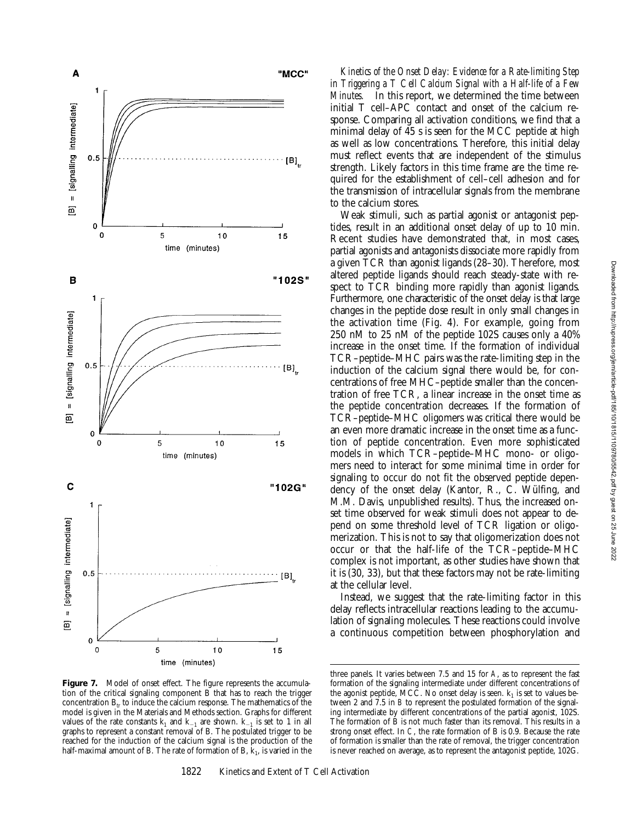

Figure 7. Model of onset effect. The figure represents the accumulation of the critical signaling component  $\overline{B}$  that has to reach the trigger concentration  $B<sub>tr</sub>$  to induce the calcium response. The mathematics of the model is given in the Materials and Methods section. Graphs for different values of the rate constants  $k_1$  and  $k_{-1}$  are shown.  $k_{-1}$  is set to 1 in all graphs to represent a constant removal of B. The postulated trigger to be reached for the induction of the calcium signal is the production of the half-maximal amount of B. The rate of formation of B,  $\hat{k}_1$ , is varied in the

*Kinetics of the Onset Delay: Evidence for a Rate-limiting Step in Triggering a T Cell Calcium Signal with a Half-life of a Few Minutes.* In this report, we determined the time between initial T cell–APC contact and onset of the calcium response. Comparing all activation conditions, we find that a minimal delay of 45 s is seen for the MCC peptide at high as well as low concentrations. Therefore, this initial delay must reflect events that are independent of the stimulus strength. Likely factors in this time frame are the time required for the establishment of cell–cell adhesion and for the transmission of intracellular signals from the membrane to the calcium stores.

Weak stimuli, such as partial agonist or antagonist peptides, result in an additional onset delay of up to 10 min. Recent studies have demonstrated that, in most cases, partial agonists and antagonists dissociate more rapidly from a given TCR than agonist ligands (28–30). Therefore, most altered peptide ligands should reach steady-state with respect to TCR binding more rapidly than agonist ligands. Furthermore, one characteristic of the onset delay is that large changes in the peptide dose result in only small changes in the activation time (Fig. 4). For example, going from 250 nM to 25 nM of the peptide 102S causes only a 40% increase in the onset time. If the formation of individual TCR–peptide–MHC pairs was the rate-limiting step in the induction of the calcium signal there would be, for concentrations of free MHC–peptide smaller than the concentration of free TCR, a linear increase in the onset time as the peptide concentration decreases. If the formation of TCR–peptide–MHC oligomers was critical there would be an even more dramatic increase in the onset time as a function of peptide concentration. Even more sophisticated models in which TCR–peptide–MHC mono- or oligomers need to interact for some minimal time in order for signaling to occur do not fit the observed peptide dependency of the onset delay (Kantor, R., C. Wülfing, and M.M. Davis, unpublished results). Thus, the increased onset time observed for weak stimuli does not appear to depend on some threshold level of TCR ligation or oligomerization. This is not to say that oligomerization does not occur or that the half-life of the TCR–peptide–MHC complex is not important, as other studies have shown that it is (30, 33), but that these factors may not be rate-limiting at the cellular level.

Instead, we suggest that the rate-limiting factor in this delay reflects intracellular reactions leading to the accumulation of signaling molecules. These reactions could involve a continuous competition between phosphorylation and

three panels. It varies between 7.5 and 15 for *A*, as to represent the fast formation of the signaling intermediate under different concentrations of the agonist peptide, MCC. No onset delay is seen.  $k_1$  is set to values between 2 and 7.5 in *B* to represent the postulated formation of the signaling intermediate by different concentrations of the partial agonist, 102S. The formation of B is not much faster than its removal. This results in a strong onset effect. In *C*, the rate formation of B is 0.9. Because the rate of formation is smaller than the rate of removal, the trigger concentration is never reached on average, as to represent the antagonist peptide, 102G.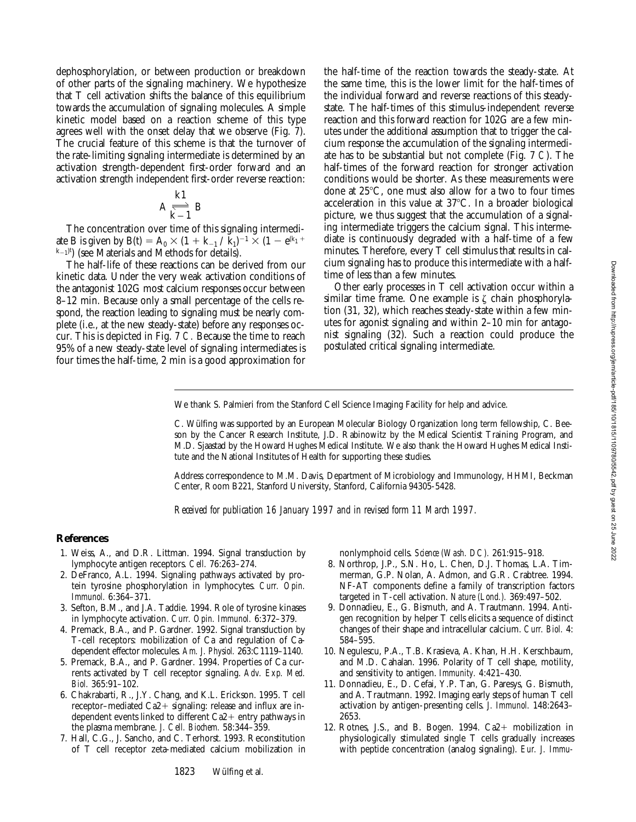dephosphorylation, or between production or breakdown of other parts of the signaling machinery. We hypothesize that T cell activation shifts the balance of this equilibrium towards the accumulation of signaling molecules. A simple kinetic model based on a reaction scheme of this type agrees well with the onset delay that we observe (Fig. 7). The crucial feature of this scheme is that the turnover of the rate-limiting signaling intermediate is determined by an activation strength-dependent first-order forward and an activation strength independent first-order reverse reaction:

$$
A \underset{k-1}{\overset{k1}{\Longleftrightarrow}} B
$$

The concentration over time of this signaling intermediate B is given by B(t) = A<sub>0</sub>  $\times$  (1 + k<sub>-1</sub> / k<sub>1</sub>)<sup>-1</sup>  $\times$  (1 – e<sup>(k<sub>1</sub> +</sup>)<sup>-1</sup>)  $(k-1)^t$ ) (see Materials and Methods for details).

The half-life of these reactions can be derived from our kinetic data. Under the very weak activation conditions of the antagonist 102G most calcium responses occur between 8–12 min. Because only a small percentage of the cells respond, the reaction leading to signaling must be nearly complete (i.e., at the new steady-state) before any responses occur. This is depicted in Fig. 7 *C.* Because the time to reach 95% of a new steady-state level of signaling intermediates is four times the half-time, 2 min is a good approximation for

the half-time of the reaction towards the steady-state. At the same time, this is the lower limit for the half-times of the individual forward and reverse reactions of this steadystate. The half-times of this stimulus-independent reverse reaction and this forward reaction for 102G are a few minutes under the additional assumption that to trigger the calcium response the accumulation of the signaling intermediate has to be substantial but not complete (Fig. 7 *C*). The half-times of the forward reaction for stronger activation conditions would be shorter. As these measurements were done at  $25^{\circ}$ C, one must also allow for a two to four times acceleration in this value at  $37^{\circ}$ C. In a broader biological picture, we thus suggest that the accumulation of a signaling intermediate triggers the calcium signal. This intermediate is continuously degraded with a half-time of a few minutes. Therefore, every T cell stimulus that results in calcium signaling has to produce this intermediate with a halftime of less than a few minutes.

Other early processes in T cell activation occur within a similar time frame. One example is  $\zeta$  chain phosphorylation (31, 32), which reaches steady-state within a few minutes for agonist signaling and within 2–10 min for antagonist signaling (32). Such a reaction could produce the postulated critical signaling intermediate.

We thank S. Palmieri from the Stanford Cell Science Imaging Facility for help and advice.

C. Wülfing was supported by an European Molecular Biology Organization long term fellowship, C. Beeson by the Cancer Research Institute, J.D. Rabinowitz by the Medical Scientist Training Program, and M.D. Sjaastad by the Howard Hughes Medical Institute. We also thank the Howard Hughes Medical Institute and the National Institutes of Health for supporting these studies.

Address correspondence to M.M. Davis, Department of Microbiology and Immunology, HHMI, Beckman Center, Room B221, Stanford University, Stanford, California 94305-5428.

*Received for publication 16 January 1997 and in revised form 11 March 1997.*

#### **References**

- 1. Weiss, A., and D.R. Littman. 1994. Signal transduction by lymphocyte antigen receptors. *Cell.* 76:263–274.
- 2. DeFranco, A.L. 1994. Signaling pathways activated by protein tyrosine phosphorylation in lymphocytes. *Curr. Opin. Immunol.* 6:364–371.
- 3. Sefton, B.M., and J.A. Taddie. 1994. Role of tyrosine kinases in lymphocyte activation. *Curr. Opin. Immunol.* 6:372–379.
- 4. Premack, B.A., and P. Gardner. 1992. Signal transduction by T-cell receptors: mobilization of Ca and regulation of Cadependent effector molecules. *Am. J. Physiol.* 263:C1119–1140.
- 5. Premack, B.A., and P. Gardner. 1994. Properties of Ca currents activated by T cell receptor signaling. *Adv. Exp. Med. Biol.* 365:91–102.
- 6. Chakrabarti, R., J.Y. Chang, and K.L. Erickson. 1995. T cell receptor–mediated  $Ca2+$  signaling: release and influx are independent events linked to different  $Ca2+$  entry pathways in the plasma membrane. *J. Cell. Biochem.* 58:344–359.
- 7. Hall, C.G., J. Sancho, and C. Terhorst. 1993. Reconstitution of T cell receptor zeta-mediated calcium mobilization in

nonlymphoid cells. *Science (Wash. DC).* 261:915–918.

- 8. Northrop, J.P., S.N. Ho, L. Chen, D.J. Thomas, L.A. Timmerman, G.P. Nolan, A. Admon, and G.R. Crabtree. 1994. NF-AT components define a family of transcription factors targeted in T-cell activation. *Nature (Lond.).* 369:497–502.
- 9. Donnadieu, E., G. Bismuth, and A. Trautmann. 1994. Antigen recognition by helper T cells elicits a sequence of distinct changes of their shape and intracellular calcium. *Curr. Biol.* 4: 584–595.
- 10. Negulescu, P.A., T.B. Krasieva, A. Khan, H.H. Kerschbaum, and M.D. Cahalan. 1996. Polarity of T cell shape, motility, and sensitivity to antigen. *Immunity.* 4:421–430.
- 11. Donnadieu, E., D. Cefai, Y.P. Tan, G. Paresys, G. Bismuth, and A. Trautmann. 1992. Imaging early steps of human T cell activation by antigen-presenting cells. *J. Immunol.* 148:2643– 2653.
- 12. Rotnes, J.S., and B. Bogen.  $1994$ .  $Ca2+$  mobilization in physiologically stimulated single T cells gradually increases with peptide concentration (analog signaling). *Eur. J. Immu-*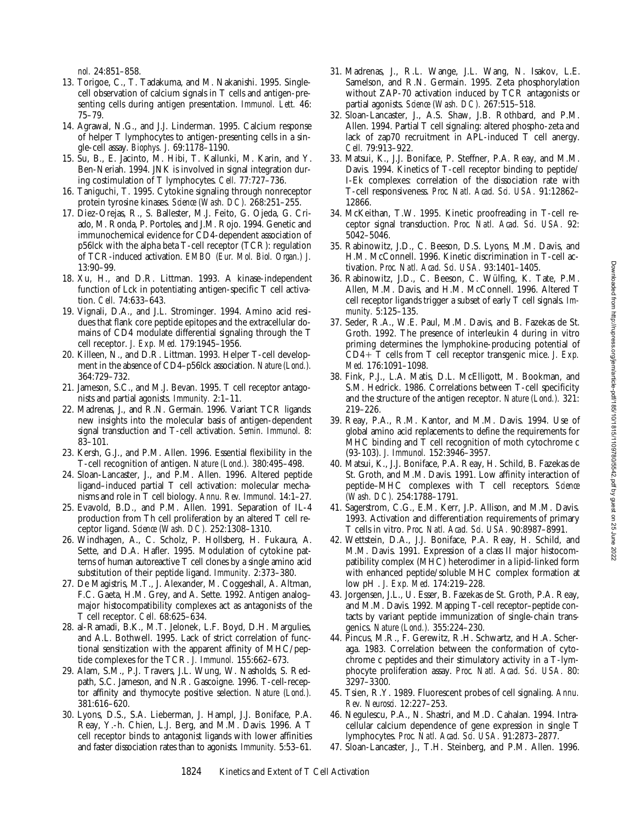31. Madrenas, J., R.L. Wange, J.L. Wang, N. Isakov, L.E. Samelson, and R.N. Germain. 1995. Zeta phosphorylation without ZAP-70 activation induced by TCR antagonists or partial agonists. *Science (Wash. DC).* 267:515–518. 32. Sloan-Lancaster, J., A.S. Shaw, J.B. Rothbard, and P.M. Allen. 1994. Partial T cell signaling: altered phospho-zeta and lack of zap70 recruitment in APL-induced T cell anergy. 33. Matsui, K., J.J. Boniface, P. Steffner, P.A. Reay, and M.M. Davis. 1994. Kinetics of T-cell receptor binding to peptide/ I-Ek complexes: correlation of the dissociation rate with T-cell responsiveness. *Proc. Natl. Acad. Sci. USA.* 91:12862– 34. McKeithan, T.W. 1995. Kinetic proofreading in T-cell re-

ceptor signal transduction. *Proc. Natl. Acad. Sci. USA.* 92: 5042–5046. 35. Rabinowitz, J.D., C. Beeson, D.S. Lyons, M.M. Davis, and

*Cell.* 79:913–922.

12866.

- H.M. McConnell. 1996. Kinetic discrimination in T-cell activation. *Proc. Natl. Acad. Sci. USA.* 93:1401–1405.
- 36. Rabinowitz, J.D., C. Beeson, C. Wülfing, K. Tate, P.M. Allen, M.M. Davis, and H.M. McConnell. 1996. Altered T cell receptor ligands trigger a subset of early T cell signals. *Immunity.* 5:125–135.
- 37. Seder, R.A., W.E. Paul, M.M. Davis, and B. Fazekas de St. Groth. 1992. The presence of interleukin 4 during in vitro priming determines the lymphokine-producing potential of CD41 T cells from T cell receptor transgenic mice. *J. Exp. Med.* 176:1091–1098.
- 38. Fink, P.J., L.A. Matis, D.L. McElligott, M. Bookman, and S.M. Hedrick. 1986. Correlations between T-cell specificity and the structure of the antigen receptor. *Nature (Lond.).* 321: 219–226.
- 39. Reay, P.A., R.M. Kantor, and M.M. Davis. 1994. Use of global amino acid replacements to define the requirements for MHC binding and T cell recognition of moth cytochrome c (93-103). *J. Immunol.* 152:3946–3957.
- 40. Matsui, K., J.J. Boniface, P.A. Reay, H. Schild, B. Fazekas de St. Groth, and M.M. Davis. 1991. Low affinity interaction of peptide–MHC complexes with T cell receptors. *Science (Wash. DC).* 254:1788–1791.
- 41. Sagerstrom, C.G., E.M. Kerr, J.P. Allison, and M.M. Davis. 1993. Activation and differentiation requirements of primary T cells in vitro. *Proc. Natl. Acad. Sci. USA.* 90:8987–8991.
- 42. Wettstein, D.A., J.J. Boniface, P.A. Reay, H. Schild, and M.M. Davis. 1991. Expression of a class II major histocompatibility complex (MHC) heterodimer in a lipid-linked form with enhanced peptide/soluble MHC complex formation at low pH . *J. Exp. Med.* 174:219–228.
- 43. Jorgensen, J.L., U. Esser, B. Fazekas de St. Groth, P.A. Reay, and M.M. Davis. 1992. Mapping T-cell receptor–peptide contacts by variant peptide immunization of single-chain transgenics. *Nature (Lond.).* 355:224–230.
- 44. Pincus, M.R., F. Gerewitz, R.H. Schwartz, and H.A. Scheraga. 1983. Correlation between the conformation of cytochrome c peptides and their stimulatory activity in a T-lymphocyte proliferation assay. *Proc. Natl. Acad. Sci. USA.* 80: 3297–3300.
- 45. Tsien, R.Y. 1989. Fluorescent probes of cell signaling. *Annu. Rev. Neurosci.* 12:227–253.
- 46. Negulescu, P.A., N. Shastri, and M.D. Cahalan. 1994. Intracellular calcium dependence of gene expression in single T lymphocytes. *Proc. Natl. Acad. Sci. USA.* 91:2873–2877.
- 47. Sloan-Lancaster, J., T.H. Steinberg, and P.M. Allen. 1996.

*nol.* 24:851–858.

- 13. Torigoe, C., T. Tadakuma, and M. Nakanishi. 1995. Singlecell observation of calcium signals in T cells and antigen-presenting cells during antigen presentation. *Immunol. Lett.* 46: 75–79.
- 14. Agrawal, N.G., and J.J. Linderman. 1995. Calcium response of helper T lymphocytes to antigen-presenting cells in a single-cell assay. *Biophys. J.* 69:1178–1190.
- 15. Su, B., E. Jacinto, M. Hibi, T. Kallunki, M. Karin, and Y. Ben-Neriah. 1994. JNK is involved in signal integration during costimulation of T lymphocytes. *Cell.* 77:727–736.
- 16. Taniguchi, T. 1995. Cytokine signaling through nonreceptor protein tyrosine kinases. *Science (Wash. DC).* 268:251–255.
- 17. Diez-Orejas, R., S. Ballester, M.J. Feito, G. Ojeda, G. Criado, M. Ronda, P. Portoles, and J.M. Rojo. 1994. Genetic and immunochemical evidence for CD4-dependent association of p56lck with the alpha beta T-cell receptor (TCR): regulation of TCR-induced activation. *EMBO (Eur. Mol. Biol. Organ.) J.* 13:90–99.
- 18. Xu, H., and D.R. Littman. 1993. A kinase-independent function of Lck in potentiating antigen-specific T cell activation. *Cell.* 74:633–643.
- 19. Vignali, D.A., and J.L. Strominger. 1994. Amino acid residues that flank core peptide epitopes and the extracellular domains of CD4 modulate differential signaling through the T cell receptor. *J. Exp. Med.* 179:1945–1956.
- 20. Killeen, N., and D.R. Littman. 1993. Helper T-cell development in the absence of CD4–p56lck association. *Nature (Lond.).* 364:729–732.
- 21. Jameson, S.C., and M.J. Bevan. 1995. T cell receptor antagonists and partial agonists. *Immunity.* 2:1–11.
- 22. Madrenas, J., and R.N. Germain. 1996. Variant TCR ligands: new insights into the molecular basis of antigen-dependent signal transduction and T-cell activation. *Semin. Immunol.* 8: 83–101.
- 23. Kersh, G.J., and P.M. Allen. 1996. Essential flexibility in the T-cell recognition of antigen. *Nature (Lond.).* 380:495–498.
- 24. Sloan-Lancaster, J., and P.M. Allen. 1996. Altered peptide ligand–induced partial T cell activation: molecular mechanisms and role in T cell biology. *Annu. Rev. Immunol.* 14:1–27.
- 25. Evavold, B.D., and P.M. Allen. 1991. Separation of IL-4 production from Th cell proliferation by an altered T cell receptor ligand. *Science (Wash. DC).* 252:1308–1310.
- 26. Windhagen, A., C. Scholz, P. Hollsberg, H. Fukaura, A. Sette, and D.A. Hafler. 1995. Modulation of cytokine patterns of human autoreactive T cell clones by a single amino acid substitution of their peptide ligand. *Immunity.* 2:373–380.
- 27. De Magistris, M.T., J. Alexander, M. Coggeshall, A. Altman, F.C. Gaeta, H.M. Grey, and A. Sette. 1992. Antigen analog– major histocompatibility complexes act as antagonists of the T cell receptor. *Cell.* 68:625–634.
- 28. al-Ramadi, B.K., M.T. Jelonek, L.F. Boyd, D.H. Margulies, and A.L. Bothwell. 1995. Lack of strict correlation of functional sensitization with the apparent affinity of MHC/peptide complexes for the TCR. *J. Immunol.* 155:662–673.
- 29. Alam, S.M., P.J. Travers, J.L. Wung, W. Nasholds, S. Redpath, S.C. Jameson, and N.R. Gascoigne. 1996. T-cell-receptor affinity and thymocyte positive selection. *Nature (Lond.).* 381:616–620.
- 30. Lyons, D.S., S.A. Lieberman, J. Hampl, J.J. Boniface, P.A. Reay, Y.-h. Chien, L.J. Berg, and M.M. Davis. 1996. A T cell receptor binds to antagonist ligands with lower affinities and faster dissociation rates than to agonists. *Immunity.* 5:53–61.